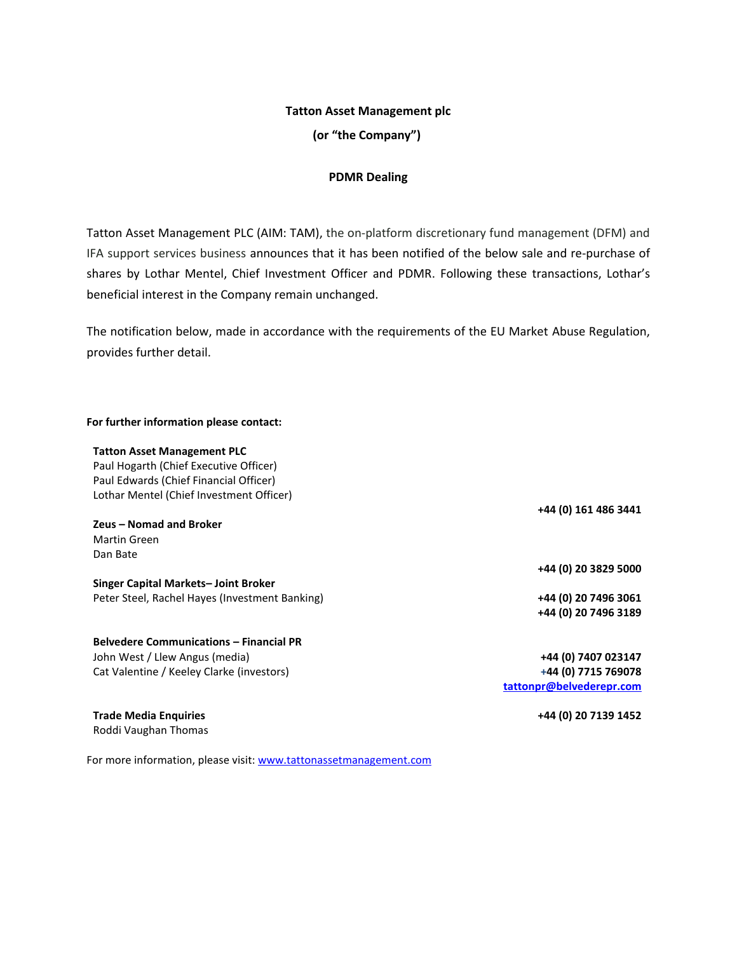## **Tatton Asset Management plc**

**(or "the Company")**

# **PDMR Dealing**

Tatton Asset Management PLC (AIM: TAM), the on-platform discretionary fund management (DFM) and IFA support services business announces that it has been notified of the below sale and re-purchase of shares by Lothar Mentel, Chief Investment Officer and PDMR. Following these transactions, Lothar's beneficial interest in the Company remain unchanged.

The notification below, made in accordance with the requirements of the EU Market Abuse Regulation, provides further detail.

### **For further information please contact:**

#### **Tatton Asset Management PLC**

Paul Hogarth (Chief Executive Officer) Paul Edwards (Chief Financial Officer) Lothar Mentel (Chief Investment Officer)

### **Zeus – Nomad and Broker** Martin Green Dan Bate

**Singer Capital Markets– Joint Broker** Peter Steel, Rachel Hayes (Investment Banking) **+44 (0) 20 7496 3061**

# **Belvedere Communications – Financial PR** John West / Llew Angus (media) Cat Valentine / Keeley Clarke (investors)

**Trade Media Enquiries** Roddi Vaughan Thomas

For more information, please visit[: www.tattonassetmanagement.com](http://www.tattonassetmanagement.com/)

**+44 (0) 161 486 3441**

**+44 (0) 20 3829 5000**

**+44 (0) 20 7496 3189**

**+44 (0) 7407 023147 +44 (0) 7715 769078 [tattonpr@belvederepr.com](mailto:tattonpr@belvederepr.com)**

**+44 (0) 20 7139 1452**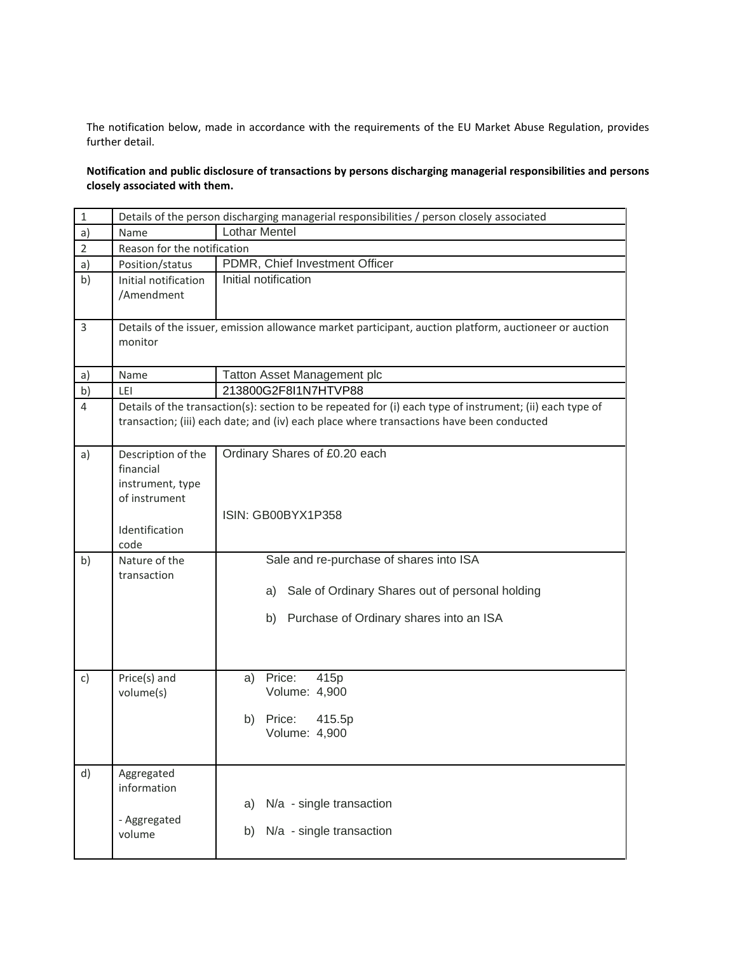The notification below, made in accordance with the requirements of the EU Market Abuse Regulation, provides further detail.

**Notification and public disclosure of transactions by persons discharging managerial responsibilities and persons closely associated with them.**

| $\mathbf 1$    | Details of the person discharging managerial responsibilities / person closely associated                                                                                                            |                                                                                                        |  |
|----------------|------------------------------------------------------------------------------------------------------------------------------------------------------------------------------------------------------|--------------------------------------------------------------------------------------------------------|--|
| a)             | Name                                                                                                                                                                                                 | <b>Lothar Mentel</b>                                                                                   |  |
| $\overline{2}$ | Reason for the notification                                                                                                                                                                          |                                                                                                        |  |
| a)             | Position/status                                                                                                                                                                                      | PDMR, Chief Investment Officer                                                                         |  |
| b)             | Initial notification<br>/Amendment                                                                                                                                                                   | Initial notification                                                                                   |  |
| 3              | Details of the issuer, emission allowance market participant, auction platform, auctioneer or auction<br>monitor                                                                                     |                                                                                                        |  |
| a)             | Name                                                                                                                                                                                                 | <b>Tatton Asset Management plc</b>                                                                     |  |
| b)             | LEI                                                                                                                                                                                                  | 213800G2F8I1N7HTVP88                                                                                   |  |
| $\overline{4}$ | Details of the transaction(s): section to be repeated for (i) each type of instrument; (ii) each type of<br>transaction; (iii) each date; and (iv) each place where transactions have been conducted |                                                                                                        |  |
| a)             | Description of the<br>financial<br>instrument, type<br>of instrument<br>Identification<br>code                                                                                                       | Ordinary Shares of £0.20 each<br>ISIN: GB00BYX1P358                                                    |  |
| b)             | Nature of the                                                                                                                                                                                        | Sale and re-purchase of shares into ISA                                                                |  |
|                | transaction                                                                                                                                                                                          | Sale of Ordinary Shares out of personal holding<br>a)<br>Purchase of Ordinary shares into an ISA<br>b) |  |
| c)             | Price(s) and<br>volume(s)                                                                                                                                                                            | Price:<br>415p<br>a)<br>Volume: 4,900<br>b) Price:<br>415.5p<br>Volume: 4,900                          |  |
| d)             | Aggregated<br>information<br>- Aggregated<br>volume                                                                                                                                                  | N/a - single transaction<br>a)<br>N/a - single transaction<br>b)                                       |  |